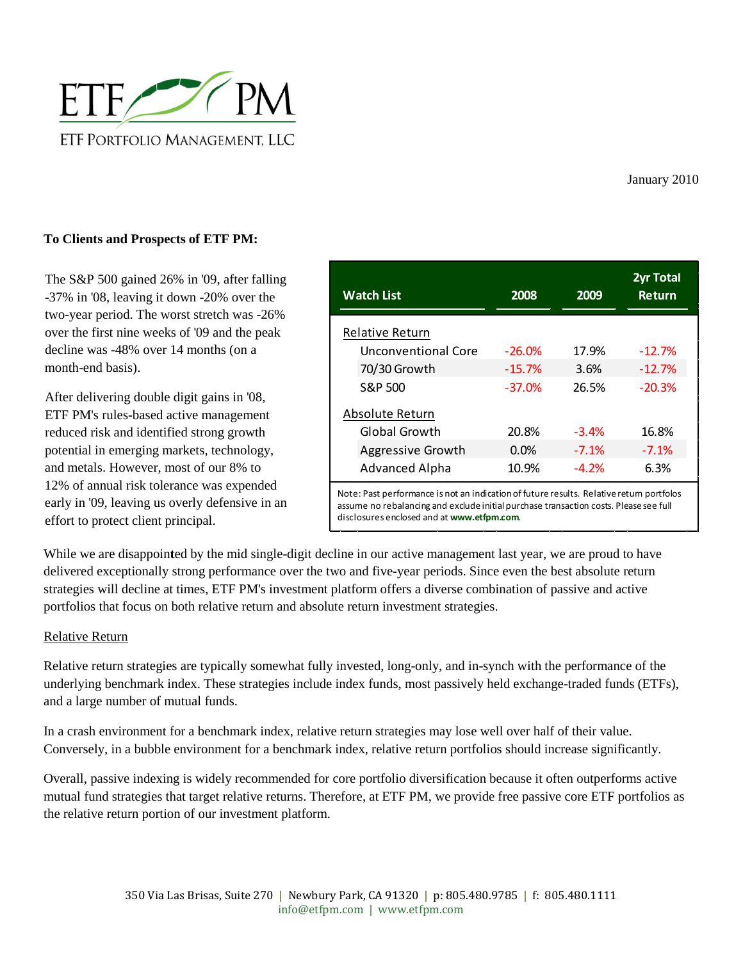

January 2010

## **To Clients and Prospects of ETF PM:**

The S&P 500 gained 26% in '09, after falling -37% in '08, leaving it down -20% over the two-year period. The worst stretch was -26% over the first nine weeks of '09 and the peak decline was -48% over 14 months (on a month-end basis).

After delivering double digit gains in '08, ETF PM's rules-based active management reduced risk and identified strong growth potential in emerging markets, technology, and metals. However, most of our 8% to 12% of annual risk tolerance was expended early in '09, leaving us overly defensive in an effort to protect client principal.

| <b>Watch List</b>   | 2008     | 2009    | <b>2yr Total</b><br><b>Return</b> |
|---------------------|----------|---------|-----------------------------------|
| Relative Return     |          |         |                                   |
| Unconventional Core | $-26.0%$ | 17.9%   | $-12.7%$                          |
| 70/30 Growth        | $-15.7%$ | 3.6%    | $-12.7%$                          |
| S&P 500             | $-37.0%$ | 26.5%   | $-20.3%$                          |
| Absolute Return     |          |         |                                   |
| Global Growth       | 20.8%    | $-3.4%$ | 16.8%                             |
| Aggressive Growth   | 0.0%     | $-7.1%$ | $-7.1%$                           |
| Advanced Alpha      | 10.9%    | $-4.2%$ | 6.3%                              |

Note: Past performance is not an indication of future results. Relative return portfolos assume no rebalancing and exclude initial purchase transaction costs. Please see full disclosures enclosed and at **www.etfpm.com**.

While we are disappoin**t**ed by the mid single-digit decline in our active management last year, we are proud to have delivered exceptionally strong performance over the two and five-year periods. Since even the best absolute return strategies will decline at times, ETF PM's investment platform offers a diverse combination of passive and active portfolios that focus on both relative return and absolute return investment strategies.

### Relative Return

Relative return strategies are typically somewhat fully invested, long-only, and in-synch with the performance of the underlying benchmark index. These strategies include index funds, most passively held exchange-traded funds (ETFs), and a large number of mutual funds.

In a crash environment for a benchmark index, relative return strategies may lose well over half of their value. Conversely, in a bubble environment for a benchmark index, relative return portfolios should increase significantly.

Overall, passive indexing is widely recommended for core portfolio diversification because it often outperforms active mutual fund strategies that target relative returns. Therefore, at ETF PM, we provide free passive core ETF portfolios as the relative return portion of our investment platform.